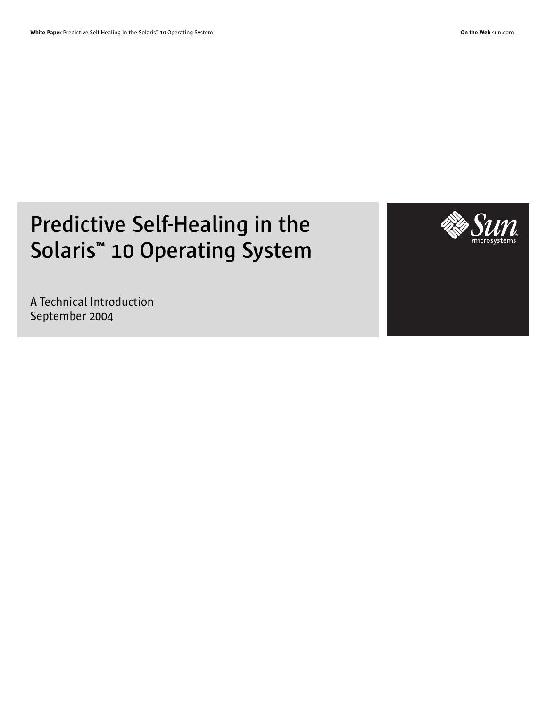# **Predictive Self-Healing in the Solaris™ 10 Operating System**

A Technical Introduction September 2004

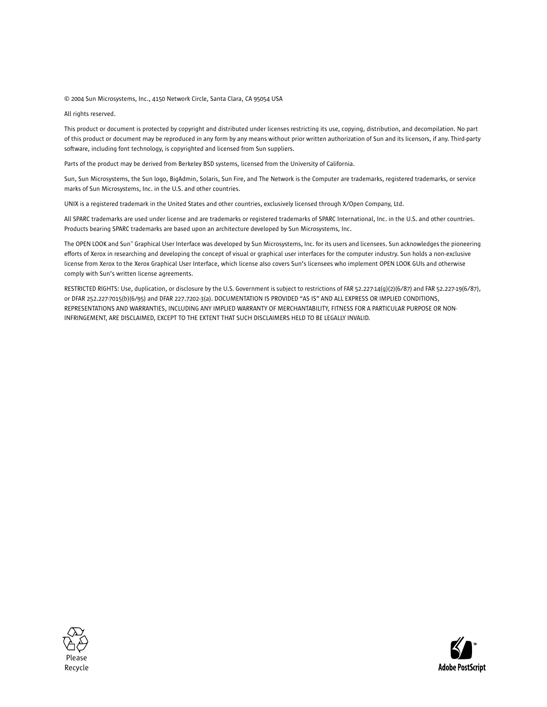© 2004 Sun Microsystems, Inc., 4150 Network Circle, Santa Clara, CA 95054 USA

All rights reserved.

This product or document is protected by copyright and distributed under licenses restricting its use, copying, distribution, and decompilation. No part of this product or document may be reproduced in any form by any means without prior written authorization of Sun and its licensors, if any. Third-party software, including font technology, is copyrighted and licensed from Sun suppliers.

Parts of the product may be derived from Berkeley BSD systems, licensed from the University of California.

Sun, Sun Microsystems, the Sun logo, BigAdmin, Solaris, Sun Fire, and The Network is the Computer are trademarks, registered trademarks, or service marks of Sun Microsystems, Inc. in the U.S. and other countries.

UNIX is a registered trademark in the United States and other countries, exclusively licensed through X/Open Company, Ltd.

All SPARC trademarks are used under license and are trademarks or registered trademarks of SPARC International, Inc. in the U.S. and other countries. Products bearing SPARC trademarks are based upon an architecture developed by Sun Microsystems, Inc.

The OPEN LOOK and Sun™ Graphical User Interface was developed by Sun Microsystems, Inc. for its users and licensees. Sun acknowledges the pioneering efforts of Xerox in researching and developing the concept of visual or graphical user interfaces for the computer industry. Sun holds a non-exclusive license from Xerox to the Xerox Graphical User Interface, which license also covers Sun's licensees who implement OPEN LOOK GUIs and otherwise comply with Sun's written license agreements.

RESTRICTED RIGHTS: Use, duplication, or disclosure by the U.S. Government is subject to restrictions of FAR 52.227-14(g)(2)(6/87) and FAR 52.227-19(6/87), or DFAR 252.227-7015(b)(6/95) and DFAR 227.7202-3(a). DOCUMENTATION IS PROVIDED "AS IS" AND ALL EXPRESS OR IMPLIED CONDITIONS, REPRESENTATIONS AND WARRANTIES, INCLUDING ANY IMPLIED WARRANTY OF MERCHANTABILITY, FITNESS FOR A PARTICULAR PURPOSE OR NON-INFRINGEMENT, ARE DISCLAIMED, EXCEPT TO THE EXTENT THAT SUCH DISCLAIMERS HELD TO BE LEGALLY INVALID.



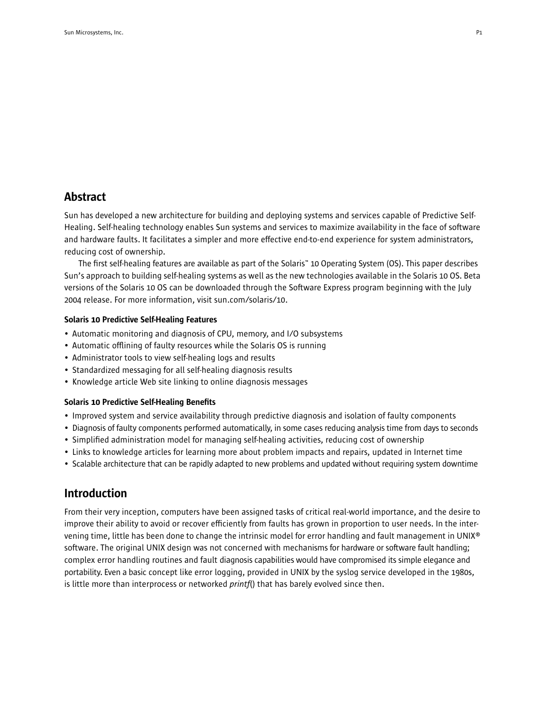# **Abstract**

Sun has developed a new architecture for building and deploying systems and services capable of Predictive Self-Healing. Self-healing technology enables Sun systems and services to maximize availability in the face of software and hardware faults. It facilitates a simpler and more effective end-to-end experience for system administrators, reducing cost of ownership.

The first self-healing features are available as part of the Solaris™ 10 Operating System (OS). This paper describes Sun's approach to building self-healing systems as well as the new technologies available in the Solaris 10 OS. Beta versions of the Solaris 10 OS can be downloaded through the Software Express program beginning with the July 2004 release. For more information, visit sun.com/solaris/10.

## Solaris 10 Predictive Self-Healing Features

- Automatic monitoring and diagnosis of CPU, memory, and I/O subsystems
- Automatic offlining of faulty resources while the Solaris OS is running
- Administrator tools to view self-healing logs and results
- Standardized messaging for all self-healing diagnosis results
- Knowledge article Web site linking to online diagnosis messages

### Solaris 10 Predictive Self-Healing Benefits

- Improved system and service availability through predictive diagnosis and isolation of faulty components
- Diagnosis of faulty components performed automatically, in some cases reducing analysis time from days to seconds
- Simplified administration model for managing self-healing activities, reducing cost of ownership
- Links to knowledge articles for learning more about problem impacts and repairs, updated in Internet time
- Scalable architecture that can be rapidly adapted to new problems and updated without requiring system downtime

## Introduction

From their very inception, computers have been assigned tasks of critical real-world importance, and the desire to improve their ability to avoid or recover efficiently from faults has grown in proportion to user needs. In the intervening time, little has been done to change the intrinsic model for error handling and fault management in UNIX® software. The original UNIX design was not concerned with mechanisms for hardware or software fault handling; complex error handling routines and fault diagnosis capabilities would have compromised its simple elegance and portability. Even a basic concept like error logging, provided in UNIX by the syslog service developed in the 1980s, is little more than interprocess or networked *printf*() that has barely evolved since then.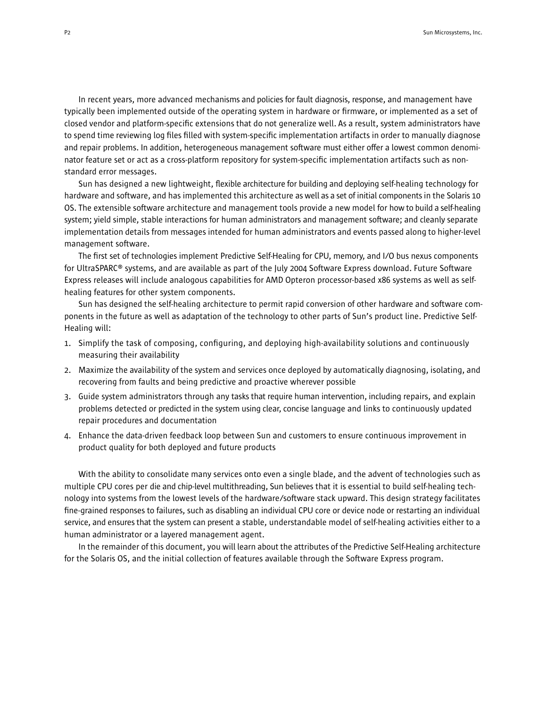In recent years, more advanced mechanisms and policies for fault diagnosis, response, and management have typically been implemented outside of the operating system in hardware or firmware, or implemented as a set of closed vendor and platform-specific extensions that do not generalize well. As a result, system administrators have to spend time reviewing log files filled with system-specific implementation artifacts in order to manually diagnose and repair problems. In addition, heterogeneous management software must either offer a lowest common denominator feature set or act as a cross-platform repository for system-specific implementation artifacts such as nonstandard error messages.

Sun has designed a new lightweight, flexible architecture for building and deploying self-healing technology for hardware and software, and has implemented this architecture as well as a set of initial components in the Solaris 10 OS. The extensible software architecture and management tools provide a new model for how to build a self-healing system; yield simple, stable interactions for human administrators and management software; and cleanly separate implementation details from messages intended for human administrators and events passed along to higher-level management software.

The first set of technologies implement Predictive Self-Healing for CPU, memory, and I/O bus nexus components for UltraSPARC® systems, and are available as part of the July 2004 Software Express download. Future Software Express releases will include analogous capabilities for AMD Opteron processor-based x86 systems as well as selfhealing features for other system components.

Sun has designed the self-healing architecture to permit rapid conversion of other hardware and software components in the future as well as adaptation of the technology to other parts of Sun's product line. Predictive Self-Healing will:

- 1. Simplify the task of composing, configuring, and deploying high-availability solutions and continuously measuring their availability
- 2. Maximize the availability of the system and services once deployed by automatically diagnosing, isolating, and recovering from faults and being predictive and proactive wherever possible
- 3. Guide system administrators through any tasks that require human intervention, including repairs, and explain problems detected or predicted in the system using clear, concise language and links to continuously updated repair procedures and documentation
- 4. Enhance the data-driven feedback loop between Sun and customers to ensure continuous improvement in product quality for both deployed and future products

With the ability to consolidate many services onto even a single blade, and the advent of technologies such as multiple CPU cores per die and chip-level multithreading, Sun believes that it is essential to build self-healing technology into systems from the lowest levels of the hardware/software stack upward. This design strategy facilitates fine-grained responses to failures, such as disabling an individual CPU core or device node or restarting an individual service, and ensures that the system can present a stable, understandable model of self-healing activities either to a human administrator or a layered management agent.

In the remainder of this document, you will learn about the attributes of the Predictive Self-Healing architecture for the Solaris OS, and the initial collection of features available through the Software Express program.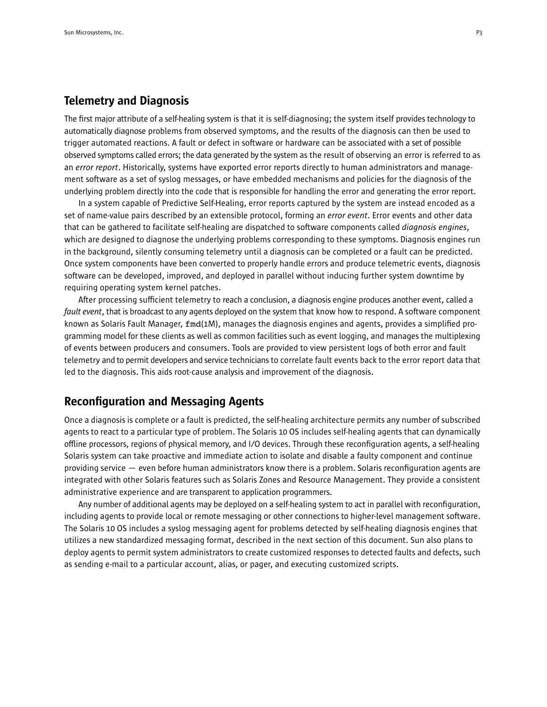## Telemetry and Diagnosis

The first major attribute of a self-healing system is that it is self-diagnosing; the system itself provides technology to automatically diagnose problems from observed symptoms, and the results of the diagnosis can then be used to trigger automated reactions. A fault or defect in software or hardware can be associated with a set of possible observed symptoms called errors; the data generated by the system as the result of observing an error is referred to as an *error report*. Historically, systems have exported error reports directly to human administrators and management software as a set of syslog messages, or have embedded mechanisms and policies for the diagnosis of the underlying problem directly into the code that is responsible for handling the error and generating the error report.

In a system capable of Predictive Self-Healing, error reports captured by the system are instead encoded as a set of name-value pairs described by an extensible protocol, forming an *error event*. Error events and other data that can be gathered to facilitate self-healing are dispatched to software components called *diagnosis engines*, which are designed to diagnose the underlying problems corresponding to these symptoms. Diagnosis engines run in the background, silently consuming telemetry until a diagnosis can be completed or a fault can be predicted. Once system components have been converted to properly handle errors and produce telemetric events, diagnosis software can be developed, improved, and deployed in parallel without inducing further system downtime by requiring operating system kernel patches.

After processing sufficient telemetry to reach a conclusion, a diagnosis engine produces another event, called a *fault event*, that is broadcast to any agents deployed on the system that know how to respond. A software component known as Solaris Fault Manager, fmd(1M), manages the diagnosis engines and agents, provides a simplified programming model for these clients as well as common facilities such as event logging, and manages the multiplexing of events between producers and consumers. Tools are provided to view persistent logs of both error and fault telemetry and to permit developers and service technicians to correlate fault events back to the error report data that led to the diagnosis. This aids root-cause analysis and improvement of the diagnosis.

## Reconfiguration and Messaging Agents

Once a diagnosis is complete or a fault is predicted, the self-healing architecture permits any number of subscribed agents to react to a particular type of problem. The Solaris 10 OS includes self-healing agents that can dynamically offline processors, regions of physical memory, and I/O devices. Through these reconfiguration agents, a self-healing Solaris system can take proactive and immediate action to isolate and disable a faulty component and continue providing service — even before human administrators know there is a problem. Solaris reconfiguration agents are integrated with other Solaris features such as Solaris Zones and Resource Management. They provide a consistent administrative experience and are transparent to application programmers.

Any number of additional agents may be deployed on a self-healing system to act in parallel with reconfiguration, including agents to provide local or remote messaging or other connections to higher-level management software. The Solaris 10 OS includes a syslog messaging agent for problems detected by self-healing diagnosis engines that utilizes a new standardized messaging format, described in the next section of this document. Sun also plans to deploy agents to permit system administrators to create customized responses to detected faults and defects, such as sending e-mail to a particular account, alias, or pager, and executing customized scripts.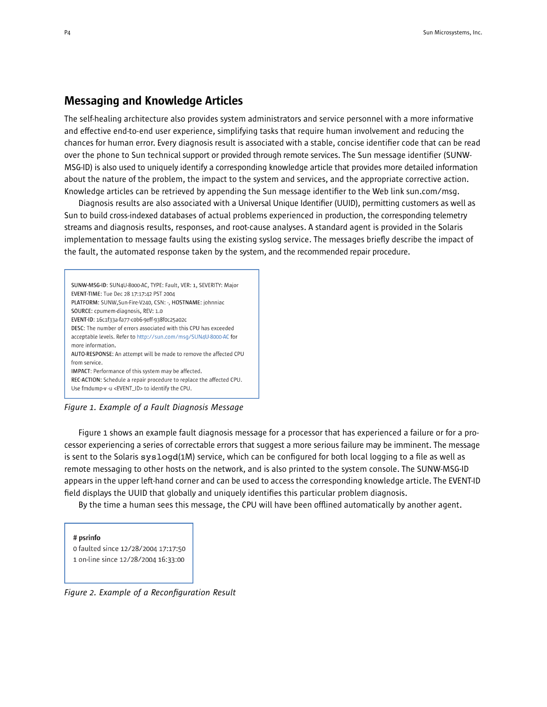## Messaging and Knowledge Articles

The self-healing architecture also provides system administrators and service personnel with a more informative and effective end-to-end user experience, simplifying tasks that require human involvement and reducing the chances for human error. Every diagnosis result is associated with a stable, concise identifier code that can be read over the phone to Sun technical support or provided through remote services. The Sun message identifier (SUNW-MSG-ID) is also used to uniquely identify a corresponding knowledge article that provides more detailed information about the nature of the problem, the impact to the system and services, and the appropriate corrective action. Knowledge articles can be retrieved by appending the Sun message identifier to the Web link sun.com/msg.

Diagnosis results are also associated with a Universal Unique Identifier (UUID), permitting customers as well as Sun to build cross-indexed databases of actual problems experienced in production, the corresponding telemetry streams and diagnosis results, responses, and root-cause analyses. A standard agent is provided in the Solaris implementation to message faults using the existing syslog service. The messages briefly describe the impact of the fault, the automated response taken by the system, and the recommended repair procedure.



*Figure 1. Example of a Fault Diagnosis Message*

Figure 1 shows an example fault diagnosis message for a processor that has experienced a failure or for a processor experiencing a series of correctable errors that suggest a more serious failure may be imminent. The message is sent to the Solaris syslogd(1M) service, which can be configured for both local logging to a file as well as remote messaging to other hosts on the network, and is also printed to the system console. The SUNW-MSG-ID appears in the upper left-hand corner and can be used to access the corresponding knowledge article. The EVENT-ID field displays the UUID that globally and uniquely identifies this particular problem diagnosis.

By the time a human sees this message, the CPU will have been offlined automatically by another agent.

#### # psrinfo

0 faulted since 12/28/2004 17:17:50 1 on-line since 12/28/2004 16:33:00

*Figure 2. Example of a Reconfiguration Result*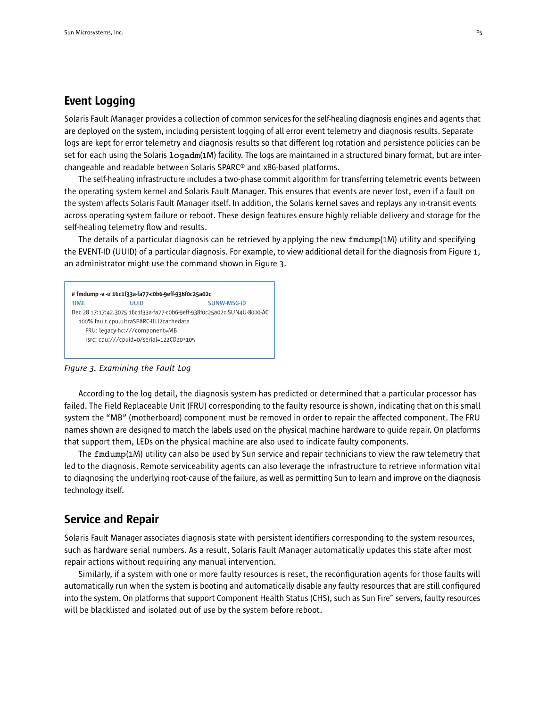## Event Logging

Solaris Fault Manager provides a collection of common services for the self-healing diagnosis engines and agents that are deployed on the system, including persistent logging of all error event telemetry and diagnosis results. Separate logs are kept for error telemetry and diagnosis results so that different log rotation and persistence policies can be set for each using the Solaris logadm(1M) facility. The logs are maintained in a structured binary format, but are interchangeable and readable between Solaris SPARC® and x86-based platforms.

The self-healing infrastructure includes a two-phase commit algorithm for transferring telemetric events between the operating system kernel and Solaris Fault Manager. This ensures that events are never lost, even if a fault on the system affects Solaris Fault Manager itself. In addition, the Solaris kernel saves and replays any in-transit events across operating system failure or reboot. These design features ensure highly reliable delivery and storage for the self-healing telemetry flow and results.

The details of a particular diagnosis can be retrieved by applying the new fmdump(1M) utility and specifying the EVENT-ID (UUID) of a particular diagnosis. For example, to view additional detail for the diagnosis from Figure 1, an administrator might use the command shown in Figure 3.



*Figure 3. Examining the Fault Log*

According to the log detail, the diagnosis system has predicted or determined that a particular processor has failed. The Field Replaceable Unit (FRU) corresponding to the faulty resource is shown, indicating that on this small system the "MB" (motherboard) component must be removed in order to repair the affected component. The FRU names shown are designed to match the labels used on the physical machine hardware to guide repair. On platforms that support them, LEDs on the physical machine are also used to indicate faulty components.

The fmdump(1M) utility can also be used by Sun service and repair technicians to view the raw telemetry that led to the diagnosis. Remote serviceability agents can also leverage the infrastructure to retrieve information vital to diagnosing the underlying root-cause of the failure, as well as permitting Sun to learn and improve on the diagnosis technology itself.

## Service and Repair

Solaris Fault Manager associates diagnosis state with persistent identifiers corresponding to the system resources, such as hardware serial numbers. As a result, Solaris Fault Manager automatically updates this state after most repair actions without requiring any manual intervention.

Similarly, if a system with one or more faulty resources is reset, the reconfiguration agents for those faults will automatically run when the system is booting and automatically disable any faulty resources that are still configured into the system. On platforms that support Component Health Status (CHS), such as Sun Fire™ servers, faulty resources will be blacklisted and isolated out of use by the system before reboot.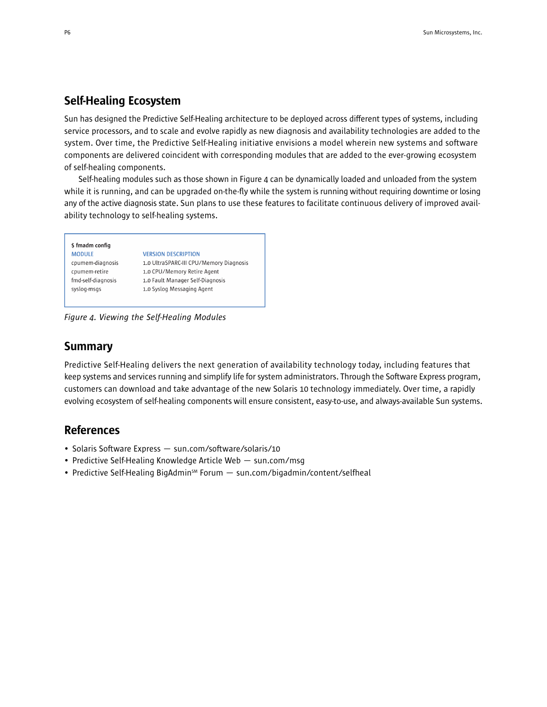## Self-Healing Ecosystem

Sun has designed the Predictive Self-Healing architecture to be deployed across different types of systems, including service processors, and to scale and evolve rapidly as new diagnosis and availability technologies are added to the system. Over time, the Predictive Self-Healing initiative envisions a model wherein new systems and software components are delivered coincident with corresponding modules that are added to the ever-growing ecosystem of self-healing components.

Self-healing modules such as those shown in Figure 4 can be dynamically loaded and unloaded from the system while it is running, and can be upgraded on-the-fly while the system is running without requiring downtime or losing any of the active diagnosis state. Sun plans to use these features to facilitate continuous delivery of improved availability technology to self-healing systems.

## \$ fmadm config **MODULE** cpumem-diagnosis cpumem-retire fmd-self-diagnosis syslog-msgs

## **VERSION DESCRIPTION** 1.0 UltraSPARC-III CPU/Memory Diagnosis 1.0 CPU/Memory Retire Agent 1.0 Fault Manager Self-Diagnosis 1.0 Syslog Messaging Agent

*Figure 4. Viewing the Self-Healing Modules*

# Summary

Predictive Self-Healing delivers the next generation of availability technology today, including features that keep systems and services running and simplify life for system administrators. Through the Software Express program, customers can download and take advantage of the new Solaris 10 technology immediately. Over time, a rapidly evolving ecosystem of self-healing components will ensure consistent, easy-to-use, and always-available Sun systems.

# References

- Solaris Software Express sun.com/software/solaris/10
- Predictive Self-Healing Knowledge Article Web sun.com/msg
- Predictive Self-Healing BigAdmin<sup>sM</sup> Forum sun.com/bigadmin/content/selfheal